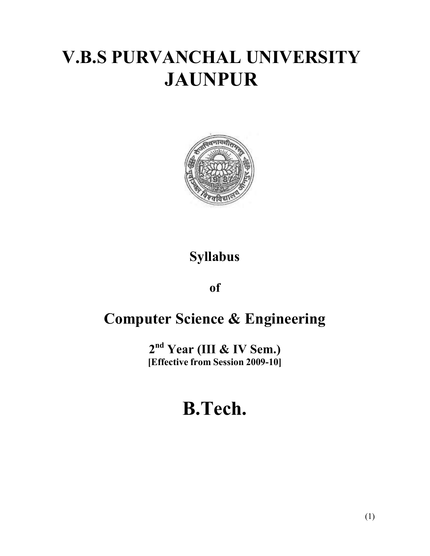# **V.B.S PURVANCHAL UNIVERSITY JAUNPUR**



# **Syllabus**

**of**

# **Computer Science & Engineering**

**2 nd Year (III & IV Sem.) [Effective from Session 2009-10]**

# **B.Tech.**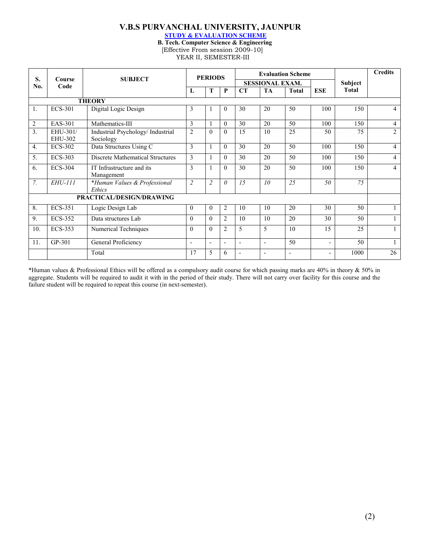#### **V.B.S PURVANCHAL UNIVERSITY, JAUNPUR**

**STUDY & EVALUATION SCHEME**

**B. Tech. Computer Science & Engineering** [Effective From session 2009-10]

YEAR II, SEMESTER-III

| S.               | Course<br>Code      | <b>SUBJECT</b>                                 | <b>PERIODS</b>           |                          |                |                          | <b>Evaluation Scheme</b> | <b>Subject</b> | <b>Credits</b>           |              |                |
|------------------|---------------------|------------------------------------------------|--------------------------|--------------------------|----------------|--------------------------|--------------------------|----------------|--------------------------|--------------|----------------|
| No.              |                     |                                                |                          |                          |                | <b>SESSIONAL EXAM.</b>   |                          |                |                          |              |                |
|                  |                     |                                                | $\mathbf{L}$             | T                        | P              | CT                       | TA                       | <b>Total</b>   | <b>ESE</b>               | <b>Total</b> |                |
|                  |                     | <b>THEORY</b>                                  |                          |                          |                |                          |                          |                |                          |              |                |
| 1.               | <b>ECS-301</b>      | Digital Logic Design                           | $\overline{3}$           |                          | $\theta$       | 30                       | 20                       | 50             | 100                      | 150          | 4              |
| $\overline{2}$   | <b>EAS-301</b>      | Mathematics-III                                | 3                        |                          | $\theta$       | 30                       | 20                       | 50             | 100                      | 150          | 4              |
| 3.               | EHU-301/<br>EHU-302 | Industrial Psychology/ Industrial<br>Sociology | $\overline{2}$           | $\theta$                 | $\Omega$       | 15                       | 10                       | 25             | 50                       | 75           | $\overline{2}$ |
| $\overline{4}$ . | <b>ECS-302</b>      | Data Structures Using C                        | 3                        |                          | $\Omega$       | 30                       | 20                       | 50             | 100                      | 150          | 4              |
| 5.               | <b>ECS-303</b>      | <b>Discrete Mathematical Structures</b>        | 3                        |                          | $\Omega$       | 30                       | 20                       | 50             | 100                      | 150          | 4              |
| 6.               | <b>ECS-304</b>      | IT Infrastructure and its<br>Management        | $\mathcal{E}$            |                          | $\Omega$       | 30                       | 20                       | 50             | 100                      | 150          | 4              |
| 7.               | <b>EHU-111</b>      | *Human Values & Professional<br>Ethics         | $\overline{2}$           | $\overline{2}$           | $\theta$       | 15                       | 10                       | 25             | 50                       | 75           |                |
|                  |                     | PRACTICAL/DESIGN/DRAWING                       |                          |                          |                |                          |                          |                |                          |              |                |
| 8.               | <b>ECS-351</b>      | Logic Design Lab                               | $\theta$                 | $\theta$                 | $\overline{2}$ | 10                       | 10                       | 20             | 30                       | 50           |                |
| 9.               | <b>ECS-352</b>      | Data structures Lab                            | $\Omega$                 | $\theta$                 | $\overline{2}$ | 10                       | 10                       | 20             | 30                       | 50           |                |
| 10.              | <b>ECS-353</b>      | Numerical Techniques                           | $\Omega$                 | $\theta$                 | $\overline{2}$ | 5                        | 5                        | 10             | 15                       | 25           |                |
| 11.              | GP-301              | General Proficiency                            | $\overline{\phantom{0}}$ | $\overline{\phantom{a}}$ | ٠              | $\blacksquare$           | $\overline{\phantom{0}}$ | 50             | -                        | 50           |                |
|                  |                     | Total                                          | 17                       | 5                        | 6              | $\overline{\phantom{a}}$ | $\overline{\phantom{a}}$ | $\overline{a}$ | $\overline{\phantom{0}}$ | 1000         | 26             |

\*Human values & Professional Ethics will be offered as a compulsory audit course for which passing marks are 40% in theory & 50% in aggregate. Students will be required to audit it with in the period of their study. There will not carry over facility for this course and the failure student will be required to repeat this course (in next-semester).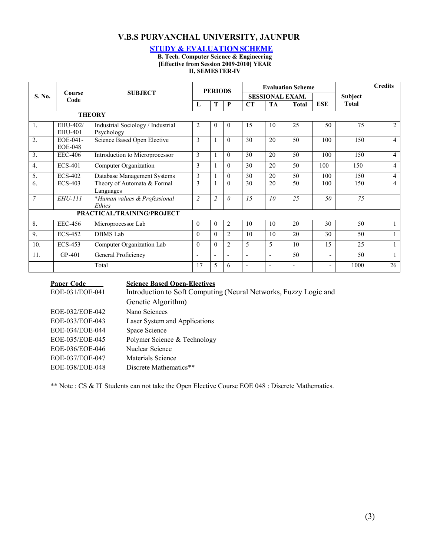# **V.B.S PURVANCHAL UNIVERSITY, JAUNPUR**

#### **STUDY & EVALUATION SCHEME**

**B. Tech. Computer Science & Engineering [Effective from Session 2009-2010] YEAR II, SEMESTER-IV**

|                  | Course<br>Code             | <b>SUBJECT</b>                                  | <b>PERIODS</b>           |                          |                | <b>Evaluation Scheme</b> |                |              |                          |              | <b>Credits</b> |
|------------------|----------------------------|-------------------------------------------------|--------------------------|--------------------------|----------------|--------------------------|----------------|--------------|--------------------------|--------------|----------------|
| S. No.           |                            |                                                 |                          |                          |                | <b>SESSIONAL EXAM.</b>   |                |              |                          | Subject      |                |
|                  |                            |                                                 | L                        | T                        | $\mathbf{P}$   | CT                       | <b>TA</b>      | <b>Total</b> | <b>ESE</b>               | <b>Total</b> |                |
|                  |                            | <b>THEORY</b>                                   |                          |                          |                |                          |                |              |                          |              |                |
| 1.               | EHU-402/<br>EHU-401        | Industrial Sociology / Industrial<br>Psychology | $\overline{c}$           | $\theta$                 | $\theta$       | 15                       | 10             | 25           | 50                       | 75           | $\overline{2}$ |
| 2.               | EOE-041-<br><b>EOE-048</b> | Science Based Open Elective                     | 3                        |                          | $\theta$       | 30                       | 20             | 50           | 100                      | 150          | $\overline{4}$ |
| $\overline{3}$ . | <b>EEC-406</b>             | Introduction to Microprocessor                  | 3                        |                          | $\theta$       | 30                       | 20             | 50           | 100                      | 150          | $\overline{4}$ |
| 4.               | <b>ECS-401</b>             | Computer Organization                           | 3                        |                          | $\theta$       | 30                       | 20             | 50           | 100                      | 150          | $\overline{4}$ |
| 5.               | <b>ECS-402</b>             | Database Management Systems                     | 3                        |                          | $\mathbf{0}$   | 30                       | 20             | 50           | 100                      | 150          | $\overline{4}$ |
| 6.               | $ECS-403$                  | Theory of Automata & Formal<br>Languages        | 3                        |                          | $\theta$       | 30                       | 20             | 50           | 100                      | 150          | $\overline{4}$ |
| $\overline{7}$   | <i>EHU-111</i>             | *Human values & Professional<br>Ethics          | $\overline{c}$           | $\overline{2}$           | $\theta$       | 15                       | 10             | 25           | 50                       | 75           |                |
|                  |                            | PRACTICAL/TRAINING/PROJECT                      |                          |                          |                |                          |                |              |                          |              |                |
| 8.               | <b>EEC-456</b>             | Microprocessor Lab                              | $\overline{0}$           | $\theta$                 | 2              | 10                       | 10             | 20           | 30                       | 50           |                |
| 9.               | <b>ECS-452</b>             | <b>DBMS</b> Lab                                 | $\theta$                 | $\theta$                 | $\overline{2}$ | 10                       | 10             | 20           | 30                       | 50           |                |
| 10.              | <b>ECS-453</b>             | Computer Organization Lab                       | $\theta$                 | $\theta$                 | $\overline{2}$ | 5                        | 5              | 10           | 15                       | 25           |                |
| 11.              | GP-401                     | General Proficiency                             | $\overline{\phantom{a}}$ | $\overline{\phantom{a}}$ | L.             | $\blacksquare$           | $\overline{a}$ | 50           | $\overline{\phantom{a}}$ | 50           | $\mathbf{1}$   |
|                  |                            | Total                                           | 17                       | 5                        | 6              |                          | $\blacksquare$ |              |                          | 1000         | 26             |

| <b>Paper Code</b> | <b>Science Based Open-Electives</b>                              |
|-------------------|------------------------------------------------------------------|
| EOE-031/EOE-041   | Introduction to Soft Computing (Neural Networks, Fuzzy Logic and |
|                   | Genetic Algorithm)                                               |
| EOE-032/EOE-042   | Nano Sciences                                                    |
| EOE-033/EOE-043   | Laser System and Applications                                    |
| EOE-034/EOE-044   | Space Science                                                    |
| EOE-035/EOE-045   | Polymer Science & Technology                                     |
| EOE-036/EOE-046   | Nuclear Science                                                  |
| EOE-037/EOE-047   | Materials Science                                                |
| EOE-038/EOE-048   | Discrete Mathematics**                                           |
|                   |                                                                  |

\*\* Note : CS & IT Students can not take the Open Elective Course EOE 048 : Discrete Mathematics.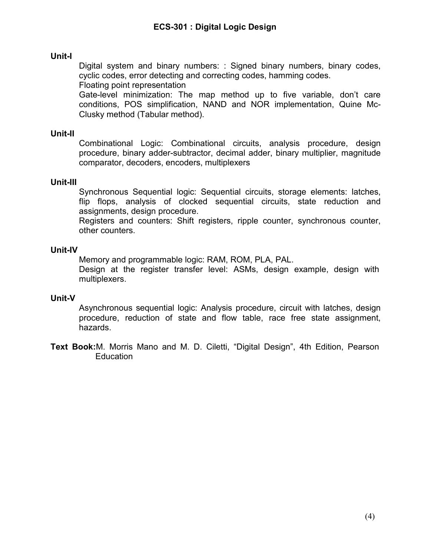### **Unit-I**

Digital system and binary numbers: : Signed binary numbers, binary codes, cyclic codes, error detecting and correcting codes, hamming codes. Floating point representation

Gate-level minimization: The map method up to five variable, don't care conditions, POS simplification, NAND and NOR implementation, Quine Mc-Clusky method (Tabular method).

#### **Unit-II**

Combinational Logic: Combinational circuits, analysis procedure, design procedure, binary adder-subtractor, decimal adder, binary multiplier, magnitude comparator, decoders, encoders, multiplexers

#### **Unit-III**

Synchronous Sequential logic: Sequential circuits, storage elements: latches, flip flops, analysis of clocked sequential circuits, state reduction and assignments, design procedure.

Registers and counters: Shift registers, ripple counter, synchronous counter, other counters.

#### **Unit-IV**

Memory and programmable logic: RAM, ROM, PLA, PAL.

Design at the register transfer level: ASMs, design example, design with multiplexers.

### **Unit-V**

Asynchronous sequential logic: Analysis procedure, circuit with latches, design procedure, reduction of state and flow table, race free state assignment, hazards.

**Text Book:**M. Morris Mano and M. D. Ciletti, "Digital Design", 4th Edition, Pearson **Education**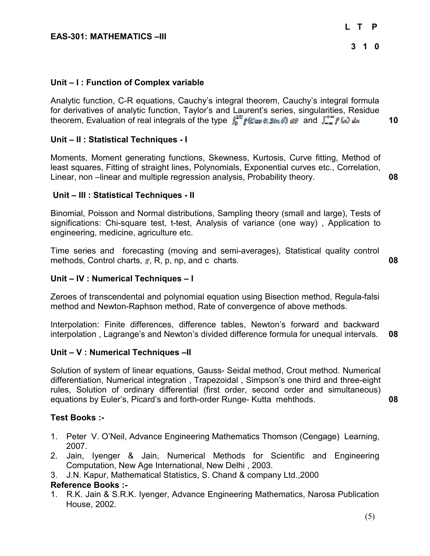### **Unit – I : Function of Complex variable**

theorem, Evaluation of real integrals of the type  $\int_{a}^{2\pi} f(\cos \theta, \sin \theta) d\theta$  and  $\int_{-\pi}^{+\pi} f(\theta) d\theta$ **10** Analytic function, C-R equations, Cauchy's integral theorem, Cauchy's integral formula for derivatives of analytic function, Taylor's and Laurent's series, singularities, Residue

#### **Unit – II : Statistical Techniques - I**

Moments, Moment generating functions, Skewness, Kurtosis, Curve fitting, Method of least squares, Fitting of straight lines, Polynomials, Exponential curves etc., Correlation, Linear, non –linear and multiple regression analysis, Probability theory. **08**

#### **Unit – III : Statistical Techniques - II**

Binomial, Poisson and Normal distributions, Sampling theory (small and large), Tests of significations: Chi-square test, t-test, Analysis of variance (one way) , Application to engineering, medicine, agriculture etc.

Time series and forecasting (moving and semi-averages), Statistical quality control methods, Control charts,  $_{\overline{x}}$ , R, p, np, and c charts. **08 08** 

#### **Unit – IV : Numerical Techniques – I**

Zeroes of transcendental and polynomial equation using Bisection method, Regula-falsi method and Newton-Raphson method, Rate of convergence of above methods.

Interpolation: Finite differences, difference tables, Newton's forward and backward interpolation , Lagrange's and Newton's divided difference formula for unequal intervals. **08**

#### **Unit – V : Numerical Techniques –II**

Solution of system of linear equations, Gauss- Seidal method, Crout method. Numerical differentiation, Numerical integration , Trapezoidal , Simpson's one third and three-eight rules, Solution of ordinary differential (first order, second order and simultaneous) equations by Euler's, Picard's and forth-order Runge- Kutta mehthods. **08**

#### **Test Books :-**

- 1. Peter V. O'Neil, Advance Engineering Mathematics Thomson (Cengage) Learning, 2007.
- 2. Jain, Iyenger & Jain, Numerical Methods for Scientific and Engineering Computation, New Age International, New Delhi , 2003.
- 3. J.N. Kapur, Mathematical Statistics, S. Chand & company Ltd.,2000

#### **Reference Books :-**

1. R.K. Jain & S.R.K. Iyenger, Advance Engineering Mathematics, Narosa Publication House, 2002.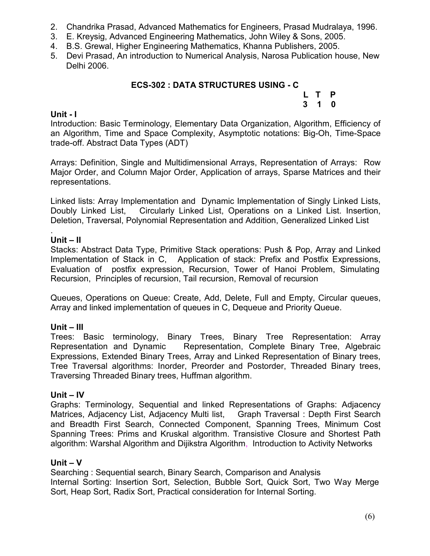- 2. Chandrika Prasad, Advanced Mathematics for Engineers, Prasad Mudralaya, 1996.
- 3. E. Kreysig, Advanced Engineering Mathematics, John Wiley & Sons, 2005.
- 4. B.S. Grewal, Higher Engineering Mathematics, Khanna Publishers, 2005.
- 5. Devi Prasad, An introduction to Numerical Analysis, Narosa Publication house, New Delhi 2006.

# **ECS-302 : DATA STRUCTURES USING - C**

**L T P 3 1 0**

# **Unit - I**

Introduction: Basic Terminology, Elementary Data Organization, Algorithm, Efficiency of an Algorithm, Time and Space Complexity, Asymptotic notations: Big-Oh, Time-Space trade-off. Abstract Data Types (ADT)

Arrays: Definition, Single and Multidimensional Arrays, Representation of Arrays: Row Major Order, and Column Major Order, Application of arrays, Sparse Matrices and their representations.

Linked lists: Array Implementation and Dynamic Implementation of Singly Linked Lists, Doubly Linked List, Circularly Linked List, Operations on a Linked List. Insertion, Deletion, Traversal, Polynomial Representation and Addition, Generalized Linked List

#### . **Unit – II**

Stacks: Abstract Data Type, Primitive Stack operations: Push & Pop, Array and Linked Implementation of Stack in C, Application of stack: Prefix and Postfix Expressions, Evaluation of postfix expression, Recursion, Tower of Hanoi Problem, Simulating Recursion, Principles of recursion, Tail recursion, Removal of recursion

Queues, Operations on Queue: Create, Add, Delete, Full and Empty, Circular queues, Array and linked implementation of queues in C, Dequeue and Priority Queue.

# **Unit – III**

Trees: Basic terminology, Binary Trees, Binary Tree Representation: Array Representation and Dynamic Representation, Complete Binary Tree, Algebraic Expressions, Extended Binary Trees, Array and Linked Representation of Binary trees, Tree Traversal algorithms: Inorder, Preorder and Postorder, Threaded Binary trees, Traversing Threaded Binary trees, Huffman algorithm.

### **Unit – IV**

Graphs: Terminology, Sequential and linked Representations of Graphs: Adjacency Matrices, Adjacency List, Adjacency Multi list, Graph Traversal : Depth First Search and Breadth First Search, Connected Component, Spanning Trees, Minimum Cost Spanning Trees: Prims and Kruskal algorithm. Transistive Closure and Shortest Path algorithm: Warshal Algorithm and Dijikstra Algorithm, Introduction to Activity Networks

### **Unit – V**

Searching : Sequential search, Binary Search, Comparison and Analysis Internal Sorting: Insertion Sort, Selection, Bubble Sort, Quick Sort, Two Way Merge Sort, Heap Sort, Radix Sort, Practical consideration for Internal Sorting.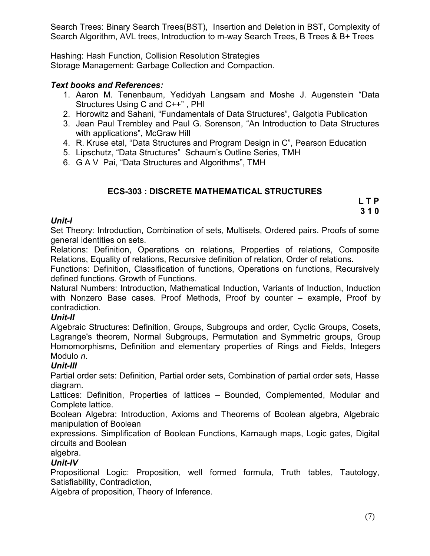Search Trees: Binary Search Trees(BST), Insertion and Deletion in BST, Complexity of Search Algorithm, AVL trees, Introduction to m-way Search Trees, B Trees & B+ Trees

Hashing: Hash Function, Collision Resolution Strategies Storage Management: Garbage Collection and Compaction.

# *Text books and References:*

- 1. Aaron M. Tenenbaum, Yedidyah Langsam and Moshe J. Augenstein "Data Structures Using C and C++" , PHI
- 2. Horowitz and Sahani, "Fundamentals of Data Structures", Galgotia Publication
- 3. Jean Paul Trembley and Paul G. Sorenson, "An Introduction to Data Structures with applications", McGraw Hill
- 4. R. Kruse etal, "Data Structures and Program Design in C", Pearson Education
- 5. Lipschutz, "Data Structures" Schaum's Outline Series, TMH
- 6. G A V Pai, "Data Structures and Algorithms", TMH

# **ECS-303 : DISCRETE MATHEMATICAL STRUCTURES**

**L T P 3 1 0**

### *Unit-I*

Set Theory: Introduction, Combination of sets, Multisets, Ordered pairs. Proofs of some general identities on sets.

Relations: Definition, Operations on relations, Properties of relations, Composite Relations, Equality of relations, Recursive definition of relation, Order of relations.

Functions: Definition, Classification of functions, Operations on functions, Recursively defined functions. Growth of Functions.

Natural Numbers: Introduction, Mathematical Induction, Variants of Induction, Induction with Nonzero Base cases. Proof Methods, Proof by counter – example, Proof by contradiction.

### *Unit-II*

Algebraic Structures: Definition, Groups, Subgroups and order, Cyclic Groups, Cosets, Lagrange's theorem, Normal Subgroups, Permutation and Symmetric groups, Group Homomorphisms, Definition and elementary properties of Rings and Fields, Integers Modulo *n*.

# *Unit-III*

Partial order sets: Definition, Partial order sets, Combination of partial order sets, Hasse diagram.

Lattices: Definition, Properties of lattices – Bounded, Complemented, Modular and Complete lattice.

Boolean Algebra: Introduction, Axioms and Theorems of Boolean algebra, Algebraic manipulation of Boolean

expressions. Simplification of Boolean Functions, Karnaugh maps, Logic gates, Digital circuits and Boolean

# algebra.

# *Unit-IV*

Propositional Logic: Proposition, well formed formula, Truth tables, Tautology, Satisfiability, Contradiction,

Algebra of proposition, Theory of Inference.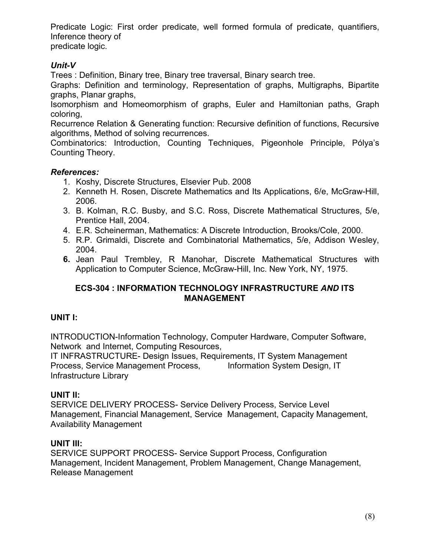Predicate Logic: First order predicate, well formed formula of predicate, quantifiers, Inference theory of

predicate logic.

# *Unit-V*

Trees : Definition, Binary tree, Binary tree traversal, Binary search tree.

Graphs: Definition and terminology, Representation of graphs, Multigraphs, Bipartite graphs, Planar graphs,

Isomorphism and Homeomorphism of graphs, Euler and Hamiltonian paths, Graph coloring,

Recurrence Relation & Generating function: Recursive definition of functions, Recursive algorithms, Method of solving recurrences.

Combinatorics: Introduction, Counting Techniques, Pigeonhole Principle, Pólya's Counting Theory.

# *References:*

- 1. Koshy, Discrete Structures, Elsevier Pub. 2008
- 2. Kenneth H. Rosen, Discrete Mathematics and Its Applications, 6/e, McGraw-Hill, 2006.
- 3. B. Kolman, R.C. Busby, and S.C. Ross, Discrete Mathematical Structures, 5/e, Prentice Hall, 2004.
- 4. E.R. Scheinerman, Mathematics: A Discrete Introduction, Brooks/Cole, 2000.
- 5. R.P. Grimaldi, Discrete and Combinatorial Mathematics, 5/e, Addison Wesley, 2004.
- **6.** Jean Paul Trembley, R Manohar, Discrete Mathematical Structures with Application to Computer Science, McGraw-Hill, Inc. New York, NY, 1975.

# **ECS-304 : INFORMATION TECHNOLOGY INFRASTRUCTURE** *AND* **ITS MANAGEMENT**

# **UNIT I:**

INTRODUCTION-Information Technology, Computer Hardware, Computer Software, Network and Internet, Computing Resources,

IT INFRASTRUCTURE- Design Issues, Requirements, IT System Management Process, Service Management Process, Information System Design, IT Infrastructure Library

# **UNIT II:**

SERVICE DELIVERY PROCESS- Service Delivery Process, Service Level Management, Financial Management, Service Management, Capacity Management, Availability Management

# **UNIT III:**

SERVICE SUPPORT PROCESS- Service Support Process, Configuration Management, Incident Management, Problem Management, Change Management, Release Management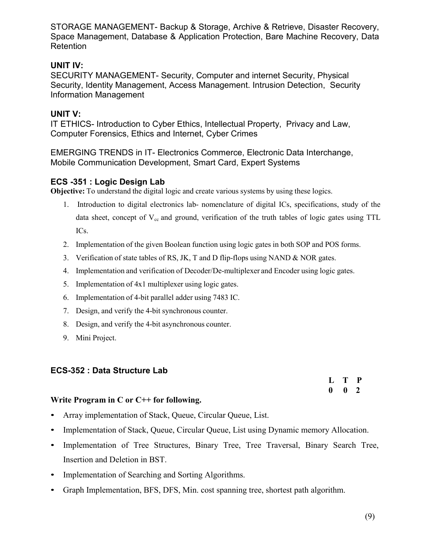STORAGE MANAGEMENT- Backup & Storage, Archive & Retrieve, Disaster Recovery, Space Management, Database & Application Protection, Bare Machine Recovery, Data **Retention** 

# **UNIT IV:**

SECURITY MANAGEMENT- Security, Computer and internet Security, Physical Security, Identity Management, Access Management. Intrusion Detection, Security Information Management

# **UNIT V:**

IT ETHICS- Introduction to Cyber Ethics, Intellectual Property, Privacy and Law, Computer Forensics, Ethics and Internet, Cyber Crimes

EMERGING TRENDS in IT- Electronics Commerce, Electronic Data Interchange, Mobile Communication Development, Smart Card, Expert Systems

# **ECS -351 : Logic Design Lab**

**Objective:** To understand the digital logic and create various systems by using these logics.

- 1. Introduction to digital electronics lab- nomenclature of digital ICs, specifications, study of the data sheet, concept of  $V_{cc}$  and ground, verification of the truth tables of logic gates using TTL ICs.
- 2. Implementation of the given Boolean function using logic gates in both SOP and POS forms.
- 3. Verification of state tables of RS, JK, T and D flip-flops using NAND & NOR gates.
- 4. Implementation and verification of Decoder/De-multiplexer and Encoder using logic gates.
- 5. Implementation of 4x1 multiplexer using logic gates.
- 6. Implementation of 4-bit parallel adder using 7483 IC.
- 7. Design, and verify the 4-bit synchronous counter.
- 8. Design, and verify the 4-bit asynchronous counter.
- 9. Mini Project.

# **ECS-352 : Data Structure Lab**

**L T P 0 0 2**

### **Write Program in C or C++ for following.**

- Array implementation of Stack, Queue, Circular Queue, List.
- Implementation of Stack, Queue, Circular Queue, List using Dynamic memory Allocation.
- Implementation of Tree Structures, Binary Tree, Tree Traversal, Binary Search Tree, Insertion and Deletion in BST.
- Implementation of Searching and Sorting Algorithms.
- Graph Implementation, BFS, DFS, Min. cost spanning tree, shortest path algorithm.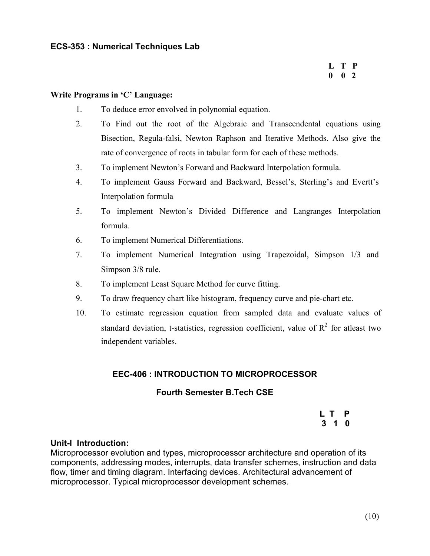# **L T P 0 0 2**

#### **Write Programs in 'C' Language:**

- 1. To deduce error envolved in polynomial equation.
- 2. To Find out the root of the Algebraic and Transcendental equations using Bisection, Regula-falsi, Newton Raphson and Iterative Methods. Also give the rate of convergence of roots in tabular form for each of these methods.
- 3. To implement Newton's Forward and Backward Interpolation formula.
- 4. To implement Gauss Forward and Backward, Bessel's, Sterling's and Evertt's Interpolation formula
- 5. To implement Newton's Divided Difference and Langranges Interpolation formula.
- 6. To implement Numerical Differentiations.
- 7. To implement Numerical Integration using Trapezoidal, Simpson 1/3 and Simpson 3/8 rule.
- 8. To implement Least Square Method for curve fitting.
- 9. To draw frequency chart like histogram, frequency curve and pie-chart etc.
- 10. To estimate regression equation from sampled data and evaluate values of standard deviation, t-statistics, regression coefficient, value of  $R^2$  for atleast two independent variables.

# **EEC-406 : INTRODUCTION TO MICROPROCESSOR**

### **Fourth Semester B.Tech CSE**

**L T P 3 1 0**

### **Unit-I Introduction:**

Microprocessor evolution and types, microprocessor architecture and operation of its components, addressing modes, interrupts, data transfer schemes, instruction and data flow, timer and timing diagram. Interfacing devices. Architectural advancement of microprocessor. Typical microprocessor development schemes.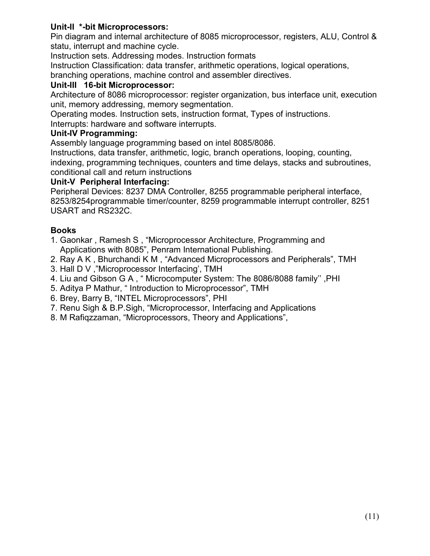# **Unit-II \*-bit Microprocessors:**

Pin diagram and internal architecture of 8085 microprocessor, registers, ALU, Control & statu, interrupt and machine cycle.

Instruction sets. Addressing modes. Instruction formats

Instruction Classification: data transfer, arithmetic operations, logical operations,

branching operations, machine control and assembler directives.

# **Unit-III 16-bit Microprocessor:**

Architecture of 8086 microprocessor: register organization, bus interface unit, execution unit, memory addressing, memory segmentation.

Operating modes. Instruction sets, instruction format, Types of instructions.

Interrupts: hardware and software interrupts.

# **Unit-IV Programming:**

Assembly language programming based on intel 8085/8086.

Instructions, data transfer, arithmetic, logic, branch operations, looping, counting, indexing, programming techniques, counters and time delays, stacks and subroutines, conditional call and return instructions

# **Unit-V Peripheral Interfacing:**

Peripheral Devices: 8237 DMA Controller, 8255 programmable peripheral interface, 8253/8254programmable timer/counter, 8259 programmable interrupt controller, 8251 USART and RS232C.

# **Books**

- 1. Gaonkar , Ramesh S , "Microprocessor Architecture, Programming and Applications with 8085", Penram International Publishing.
- 2. Ray A K , Bhurchandi K M , "Advanced Microprocessors and Peripherals", TMH
- 3. Hall D V ,"Microprocessor Interfacing', TMH
- 4. Liu and Gibson G A , " Microcomputer System: The 8086/8088 family'' ,PHI
- 5. Aditya P Mathur, " Introduction to Microprocessor", TMH
- 6. Brey, Barry B, "INTEL Microprocessors", PHI
- 7. Renu Sigh & B.P.Sigh, "Microprocessor, Interfacing and Applications
- 8. M Rafiqzzaman, "Microprocessors, Theory and Applications",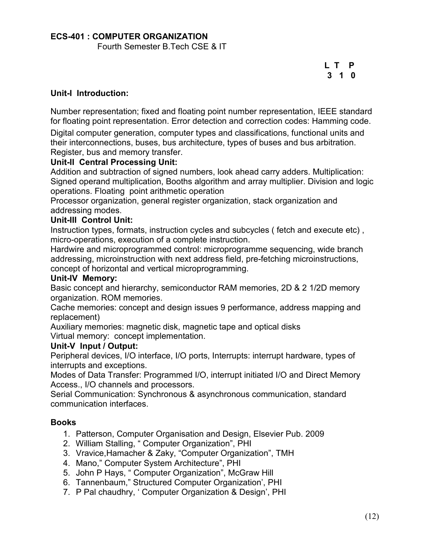# **ECS-401 : COMPUTER ORGANIZATION**

Fourth Semester B.Tech CSE & IT

**L T P 3 1 0**

### **Unit-I Introduction:**

Number representation; fixed and floating point number representation, IEEE standard for floating point representation. Error detection and correction codes: Hamming code.

Digital computer generation, computer types and classifications, functional units and their interconnections, buses, bus architecture, types of buses and bus arbitration. Register, bus and memory transfer.

### **Unit-II Central Processing Unit:**

Addition and subtraction of signed numbers, look ahead carry adders. Multiplication: Signed operand multiplication, Booths algorithm and array multiplier. Division and logic operations. Floating point arithmetic operation

Processor organization, general register organization, stack organization and addressing modes.

# **Unit-III Control Unit:**

Instruction types, formats, instruction cycles and subcycles (fetch and execute etc), micro-operations, execution of a complete instruction.

Hardwire and microprogrammed control: microprogramme sequencing, wide branch addressing, microinstruction with next address field, pre-fetching microinstructions, concept of horizontal and vertical microprogramming.

#### **Unit-IV Memory:**

Basic concept and hierarchy, semiconductor RAM memories, 2D & 2 1/2D memory organization. ROM memories.

Cache memories: concept and design issues 9 performance, address mapping and replacement)

Auxiliary memories: magnetic disk, magnetic tape and optical disks Virtual memory: concept implementation.

#### **Unit-V Input / Output:**

Peripheral devices, I/O interface, I/O ports, Interrupts: interrupt hardware, types of interrupts and exceptions.

Modes of Data Transfer: Programmed I/O, interrupt initiated I/O and Direct Memory Access., I/O channels and processors.

Serial Communication: Synchronous & asynchronous communication, standard communication interfaces.

### **Books**

- 1. Patterson, Computer Organisation and Design, Elsevier Pub. 2009
- 2. William Stalling, " Computer Organization", PHI
- 3. Vravice,Hamacher & Zaky, "Computer Organization", TMH
- 4. Mano," Computer System Architecture", PHI
- 5. John P Hays, " Computer Organization", McGraw Hill
- 6. Tannenbaum," Structured Computer Organization', PHI
- 7. P Pal chaudhry, ' Computer Organization & Design', PHI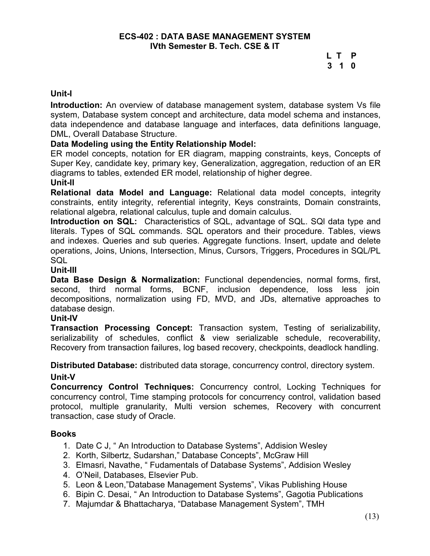# **L T P 3 1 0**

### **Unit-I**

**Introduction:** An overview of database management system, database system Vs file system, Database system concept and architecture, data model schema and instances, data independence and database language and interfaces, data definitions language, DML, Overall Database Structure.

### **Data Modeling using the Entity Relationship Model:**

ER model concepts, notation for ER diagram, mapping constraints, keys, Concepts of Super Key, candidate key, primary key, Generalization, aggregation, reduction of an ER diagrams to tables, extended ER model, relationship of higher degree.

#### **Unit-II**

**Relational data Model and Language:** Relational data model concepts, integrity constraints, entity integrity, referential integrity, Keys constraints, Domain constraints, relational algebra, relational calculus, tuple and domain calculus.

**Introduction on SQL:** Characteristics of SQL, advantage of SQL. SQl data type and literals. Types of SQL commands. SQL operators and their procedure. Tables, views and indexes. Queries and sub queries. Aggregate functions. Insert, update and delete operations, Joins, Unions, Intersection, Minus, Cursors, Triggers, Procedures in SQL/PL **SQL** 

#### **Unit-III**

**Data Base Design & Normalization:** Functional dependencies, normal forms, first, second, third normal forms, BCNF, inclusion dependence, loss less join decompositions, normalization using FD, MVD, and JDs, alternative approaches to database design.

#### **Unit-IV**

**Transaction Processing Concept:** Transaction system, Testing of serializability, serializability of schedules, conflict & view serializable schedule, recoverability, Recovery from transaction failures, log based recovery, checkpoints, deadlock handling.

**Distributed Database:** distributed data storage, concurrency control, directory system.

### **Unit-V**

**Concurrency Control Techniques:** Concurrency control, Locking Techniques for concurrency control, Time stamping protocols for concurrency control, validation based protocol, multiple granularity, Multi version schemes, Recovery with concurrent transaction, case study of Oracle.

### **Books**

- 1. Date C J, " An Introduction to Database Systems", Addision Wesley
- 2. Korth, Silbertz, Sudarshan," Database Concepts", McGraw Hill
- 3. Elmasri, Navathe, " Fudamentals of Database Systems", Addision Wesley
- 4. O'Neil, Databases, Elsevier Pub.
- 5. Leon & Leon,"Database Management Systems", Vikas Publishing House
- 6. Bipin C. Desai, " An Introduction to Database Systems", Gagotia Publications
- 7. Majumdar & Bhattacharya, "Database Management System", TMH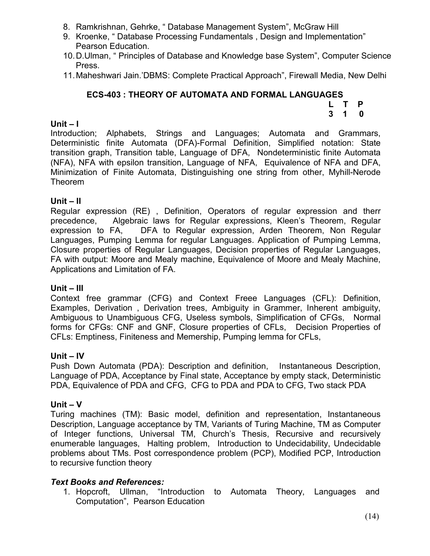- 8. Ramkrishnan, Gehrke, " Database Management System", McGraw Hill
- 9. Kroenke, " Database Processing Fundamentals , Design and Implementation" Pearson Education.
- 10.D.Ulman, " Principles of Database and Knowledge base System", Computer Science Press.
- 11.Maheshwari Jain.'DBMS: Complete Practical Approach", Firewall Media, New Delhi

#### **ECS-403 : THEORY OF AUTOMATA AND FORMAL LANGUAGES L T P**

# **Unit – I**

Introduction; Alphabets, Strings and Languages; Automata and Grammars, Deterministic finite Automata (DFA)-Formal Definition, Simplified notation: State transition graph, Transition table, Language of DFA, Nondeterministic finite Automata (NFA), NFA with epsilon transition, Language of NFA, Equivalence of NFA and DFA, Minimization of Finite Automata, Distinguishing one string from other, Myhill-Nerode Theorem

# **Unit – II**

Regular expression (RE) , Definition, Operators of regular expression and therr precedence, Algebraic laws for Regular expressions, Kleen's Theorem, Regular expression to FA, DFA to Regular expression, Arden Theorem, Non Regular Languages, Pumping Lemma for regular Languages. Application of Pumping Lemma, Closure properties of Regular Languages, Decision properties of Regular Languages, FA with output: Moore and Mealy machine, Equivalence of Moore and Mealy Machine, Applications and Limitation of FA.

### **Unit – III**

Context free grammar (CFG) and Context Freee Languages (CFL): Definition, Examples, Derivation , Derivation trees, Ambiguity in Grammer, Inherent ambiguity, Ambiguous to Unambiguous CFG, Useless symbols, Simplification of CFGs, Normal forms for CFGs: CNF and GNF, Closure properties of CFLs, Decision Properties of CFLs: Emptiness, Finiteness and Memership, Pumping lemma for CFLs,

### **Unit – IV**

Push Down Automata (PDA): Description and definition, Instantaneous Description, Language of PDA, Acceptance by Final state, Acceptance by empty stack, Deterministic PDA, Equivalence of PDA and CFG, CFG to PDA and PDA to CFG, Two stack PDA

### **Unit – V**

Turing machines (TM): Basic model, definition and representation, Instantaneous Description, Language acceptance by TM, Variants of Turing Machine, TM as Computer of Integer functions, Universal TM, Church's Thesis, Recursive and recursively enumerable languages, Halting problem, Introduction to Undecidability, Undecidable problems about TMs. Post correspondence problem (PCP), Modified PCP, Introduction to recursive function theory

# *Text Books and References:*

1. Hopcroft, Ullman, "Introduction to Automata Theory, Languages and Computation", Pearson Education

**3 1 0**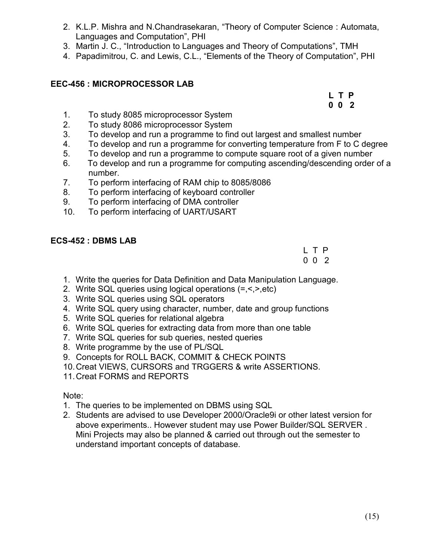- 2. K.L.P. Mishra and N.Chandrasekaran, "Theory of Computer Science : Automata, Languages and Computation", PHI
- 3. Martin J. C., "Introduction to Languages and Theory of Computations", TMH
- 4. Papadimitrou, C. and Lewis, C.L., "Elements of the Theory of Computation", PHI

# **EEC-456 : MICROPROCESSOR LAB**

**L T P 0 0 2**

- 1. To study 8085 microprocessor System
- 2. To study 8086 microprocessor System
- 3. To develop and run a programme to find out largest and smallest number
- 4. To develop and run a programme for converting temperature from F to C degree
- 5. To develop and run a programme to compute square root of a given number
- 6. To develop and run a programme for computing ascending/descending order of a number.
- 7. To perform interfacing of RAM chip to 8085/8086
- 8. To perform interfacing of keyboard controller
- 9. To perform interfacing of DMA controller
- 10. To perform interfacing of UART/USART

# **ECS-452 : DBMS LAB**

L T P 0 0 2

- 1. Write the queries for Data Definition and Data Manipulation Language.
- 2. Write SQL queries using logical operations (=,<,>,etc)
- 3. Write SQL queries using SQL operators
- 4. Write SQL query using character, number, date and group functions
- 5. Write SQL queries for relational algebra
- 6. Write SQL queries for extracting data from more than one table
- 7. Write SQL queries for sub queries, nested queries
- 8. Write programme by the use of PL/SQL
- 9. Concepts for ROLL BACK, COMMIT & CHECK POINTS
- 10.Creat VIEWS, CURSORS and TRGGERS & write ASSERTIONS.
- 11.Creat FORMS and REPORTS

Note:

- 1. The queries to be implemented on DBMS using SQL
- 2. Students are advised to use Developer 2000/Oracle9i or other latest version for above experiments.. However student may use Power Builder/SQL SERVER . Mini Projects may also be planned & carried out through out the semester to understand important concepts of database.